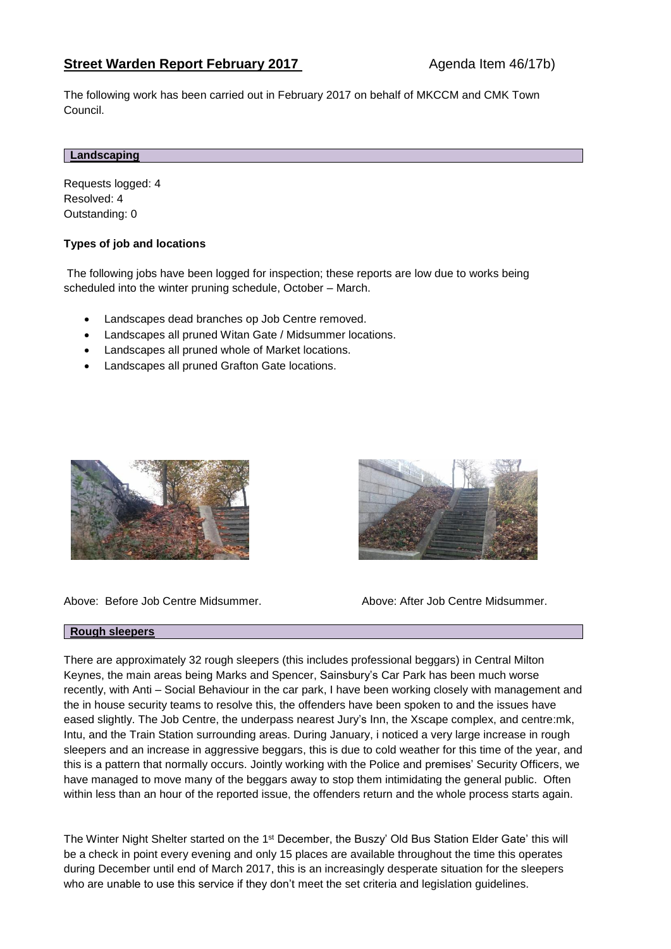# **Street Warden Report February 2017** Agenda Item 46/17b)

The following work has been carried out in February 2017 on behalf of MKCCM and CMK Town Council.

### **Landscaping**

Requests logged: 4 Resolved: 4 Outstanding: 0

## **Types of job and locations**

The following jobs have been logged for inspection; these reports are low due to works being scheduled into the winter pruning schedule, October – March.

- Landscapes dead branches op Job Centre removed.
- Landscapes all pruned Witan Gate / Midsummer locations.
- Landscapes all pruned whole of Market locations.
- Landscapes all pruned Grafton Gate locations.



Above: Before Job Centre Midsummer. Above: After Job Centre Midsummer.



#### **Rough sleepers**

There are approximately 32 rough sleepers (this includes professional beggars) in Central Milton Keynes, the main areas being Marks and Spencer, Sainsbury's Car Park has been much worse recently, with Anti – Social Behaviour in the car park, I have been working closely with management and the in house security teams to resolve this, the offenders have been spoken to and the issues have eased slightly. The Job Centre, the underpass nearest Jury's Inn, the Xscape complex, and centre:mk, Intu, and the Train Station surrounding areas. During January, i noticed a very large increase in rough sleepers and an increase in aggressive beggars, this is due to cold weather for this time of the year, and this is a pattern that normally occurs. Jointly working with the Police and premises' Security Officers, we have managed to move many of the beggars away to stop them intimidating the general public. Often within less than an hour of the reported issue, the offenders return and the whole process starts again.

The Winter Night Shelter started on the 1<sup>st</sup> December, the Buszy' Old Bus Station Elder Gate' this will be a check in point every evening and only 15 places are available throughout the time this operates during December until end of March 2017, this is an increasingly desperate situation for the sleepers who are unable to use this service if they don't meet the set criteria and legislation guidelines.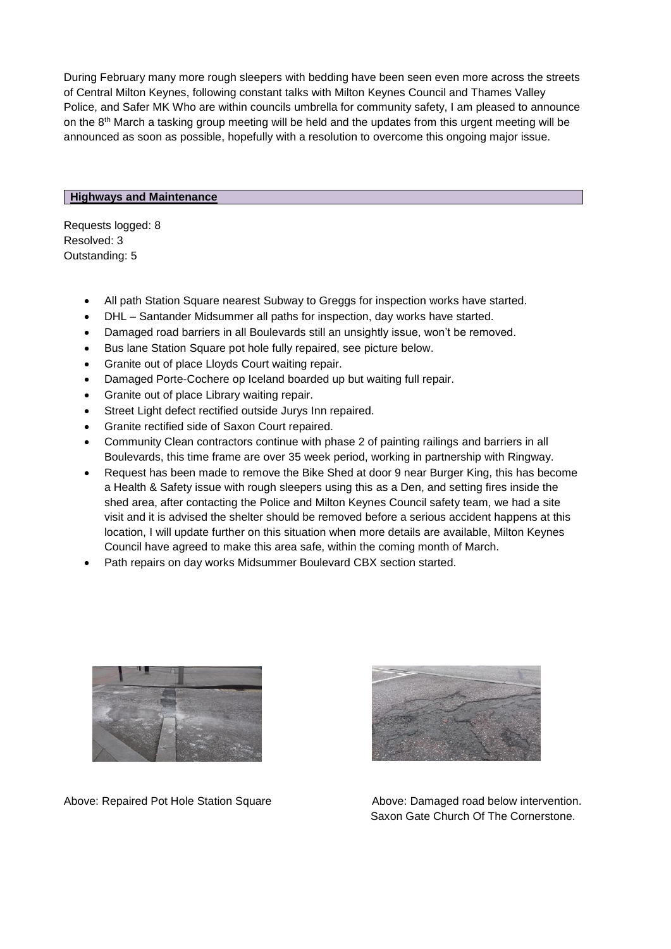During February many more rough sleepers with bedding have been seen even more across the streets of Central Milton Keynes, following constant talks with Milton Keynes Council and Thames Valley Police, and Safer MK Who are within councils umbrella for community safety, I am pleased to announce on the  $8<sup>th</sup>$  March a tasking group meeting will be held and the updates from this urgent meeting will be announced as soon as possible, hopefully with a resolution to overcome this ongoing major issue.

## **Highways and Maintenance**

Requests logged: 8 Resolved: 3 Outstanding: 5

- All path Station Square nearest Subway to Greggs for inspection works have started.
- DHL Santander Midsummer all paths for inspection, day works have started.
- Damaged road barriers in all Boulevards still an unsightly issue, won't be removed.
- Bus lane Station Square pot hole fully repaired, see picture below.
- Granite out of place Lloyds Court waiting repair.
- Damaged Porte-Cochere op Iceland boarded up but waiting full repair.
- Granite out of place Library waiting repair.
- Street Light defect rectified outside Jurys Inn repaired.
- Granite rectified side of Saxon Court repaired.
- Community Clean contractors continue with phase 2 of painting railings and barriers in all Boulevards, this time frame are over 35 week period, working in partnership with Ringway.
- Request has been made to remove the Bike Shed at door 9 near Burger King, this has become a Health & Safety issue with rough sleepers using this as a Den, and setting fires inside the shed area, after contacting the Police and Milton Keynes Council safety team, we had a site visit and it is advised the shelter should be removed before a serious accident happens at this location, I will update further on this situation when more details are available, Milton Keynes Council have agreed to make this area safe, within the coming month of March.
- Path repairs on day works Midsummer Boulevard CBX section started.



Above: Repaired Pot Hole Station Square Above: Damaged road below intervention.



Saxon Gate Church Of The Cornerstone.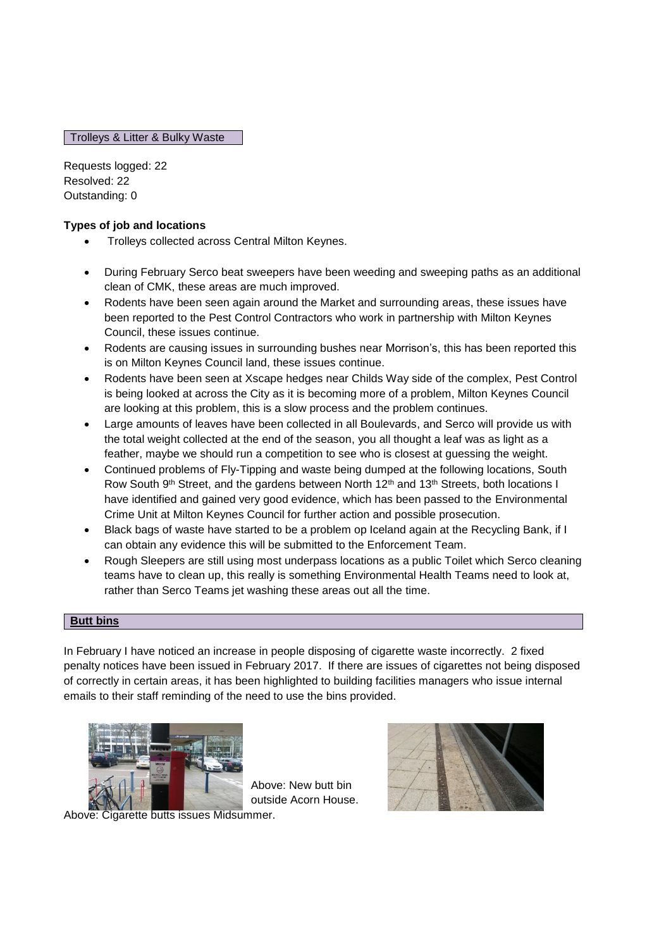Trolleys & Litter & Bulky Waste

Requests logged: 22 Resolved: 22 Outstanding: 0

## **Types of job and locations**

- Trolleys collected across Central Milton Keynes.
- During February Serco beat sweepers have been weeding and sweeping paths as an additional clean of CMK, these areas are much improved.
- Rodents have been seen again around the Market and surrounding areas, these issues have been reported to the Pest Control Contractors who work in partnership with Milton Keynes Council, these issues continue.
- Rodents are causing issues in surrounding bushes near Morrison's, this has been reported this is on Milton Keynes Council land, these issues continue.
- Rodents have been seen at Xscape hedges near Childs Way side of the complex, Pest Control is being looked at across the City as it is becoming more of a problem, Milton Keynes Council are looking at this problem, this is a slow process and the problem continues.
- Large amounts of leaves have been collected in all Boulevards, and Serco will provide us with the total weight collected at the end of the season, you all thought a leaf was as light as a feather, maybe we should run a competition to see who is closest at guessing the weight.
- Continued problems of Fly-Tipping and waste being dumped at the following locations, South Row South 9<sup>th</sup> Street, and the gardens between North 12<sup>th</sup> and 13<sup>th</sup> Streets, both locations I have identified and gained very good evidence, which has been passed to the Environmental Crime Unit at Milton Keynes Council for further action and possible prosecution.
- Black bags of waste have started to be a problem op Iceland again at the Recycling Bank, if I can obtain any evidence this will be submitted to the Enforcement Team.
- Rough Sleepers are still using most underpass locations as a public Toilet which Serco cleaning teams have to clean up, this really is something Environmental Health Teams need to look at, rather than Serco Teams jet washing these areas out all the time.

## **Butt bins**

In February I have noticed an increase in people disposing of cigarette waste incorrectly. 2 fixed penalty notices have been issued in February 2017. If there are issues of cigarettes not being disposed of correctly in certain areas, it has been highlighted to building facilities managers who issue internal emails to their staff reminding of the need to use the bins provided.



Above: New butt bin outside Acorn House.

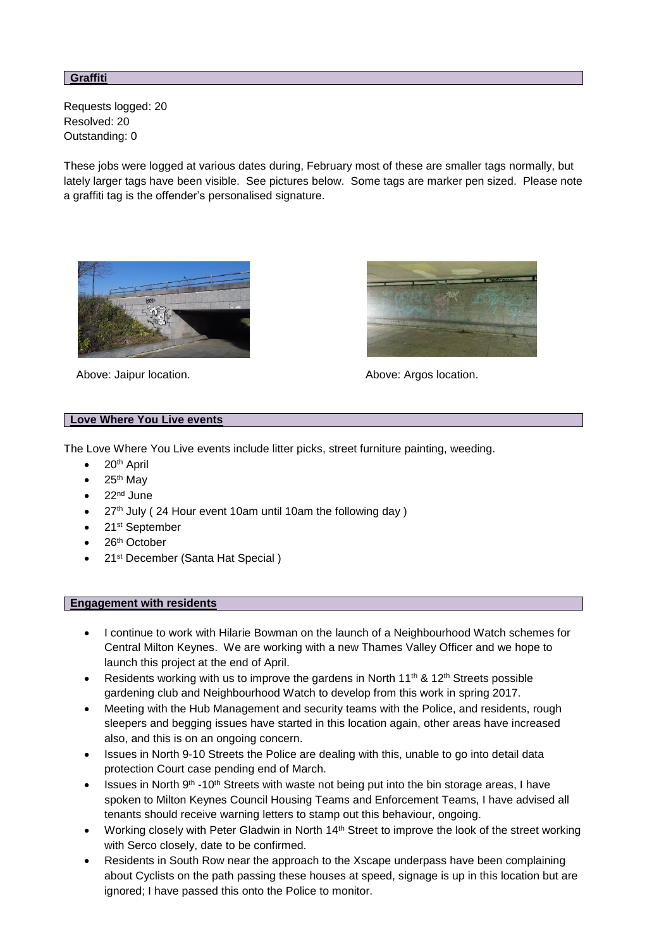### **Graffiti**

Requests logged: 20 Resolved: 20 Outstanding: 0

These jobs were logged at various dates during, February most of these are smaller tags normally, but lately larger tags have been visible. See pictures below. Some tags are marker pen sized. Please note a graffiti tag is the offender's personalised signature.



Above: Jaipur location. Above: Argos location.



## **Love Where You Live events**

The Love Where You Live events include litter picks, street furniture painting, weeding.

- $\bullet$  20<sup>th</sup> April
- 25th May
- 22<sup>nd</sup> June
- 27<sup>th</sup> July (24 Hour event 10am until 10am the following day)
- 21<sup>st</sup> September
- 26<sup>th</sup> October
- 21<sup>st</sup> December (Santa Hat Special)

#### **Engagement with residents**

- I continue to work with Hilarie Bowman on the launch of a Neighbourhood Watch schemes for Central Milton Keynes. We are working with a new Thames Valley Officer and we hope to launch this project at the end of April.
- Residents working with us to improve the gardens in North 11<sup>th</sup> & 12<sup>th</sup> Streets possible gardening club and Neighbourhood Watch to develop from this work in spring 2017.
- Meeting with the Hub Management and security teams with the Police, and residents, rough sleepers and begging issues have started in this location again, other areas have increased also, and this is on an ongoing concern.
- Issues in North 9-10 Streets the Police are dealing with this, unable to go into detail data protection Court case pending end of March.
- $\bullet$  Issues in North 9<sup>th</sup> -10<sup>th</sup> Streets with waste not being put into the bin storage areas. I have spoken to Milton Keynes Council Housing Teams and Enforcement Teams, I have advised all tenants should receive warning letters to stamp out this behaviour, ongoing.
- Working closely with Peter Gladwin in North 14<sup>th</sup> Street to improve the look of the street working with Serco closely, date to be confirmed.
- Residents in South Row near the approach to the Xscape underpass have been complaining about Cyclists on the path passing these houses at speed, signage is up in this location but are ignored; I have passed this onto the Police to monitor.